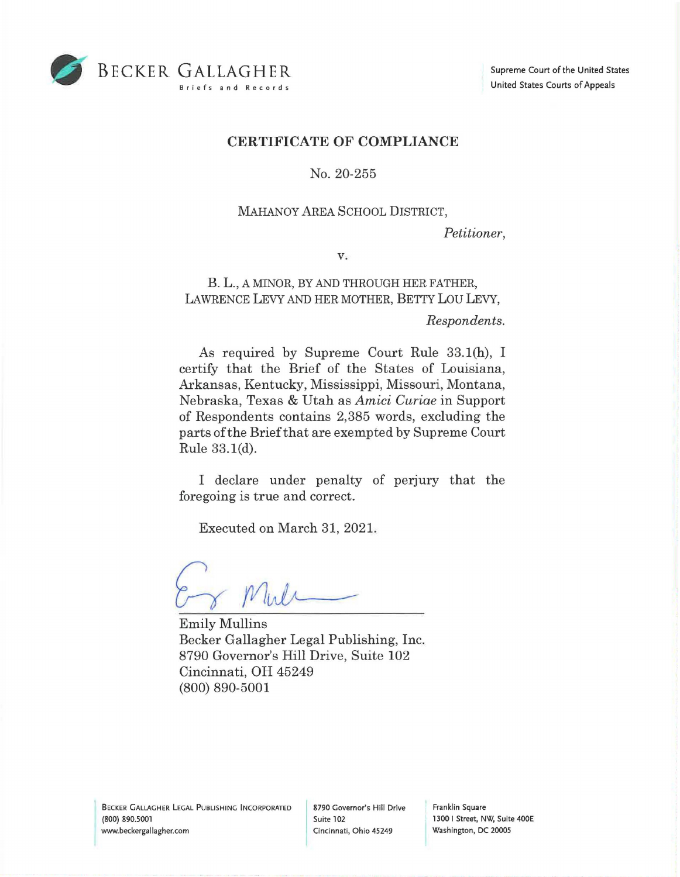

## **CERTIFICATE OF COMPLIANCE**

No. 20-255

## MAHANOY AREA SCHOOL DISTRICT,

*Petitioner,* 

V.

B. L., A MINOR, BY AND THROUGH HER FATHER, LAWRENCE LEVY AND HER MOTHER, BETTY LOU LEVY,

*Respondents.* 

As required by Supreme Court Rule 33.l(h), I certify that the Brief of the States of Louisiana, Arkansas, Kentucky, Mississippi, Missouri, Montana, Nebraska, Texas & Utah as *Amici Curiae* in Support of Respondents contains 2,385 words, excluding the parts of the Brief that are exempted by Supreme Court Rule 33. l(d).

I declare under penalty of perjury that the foregoing is true and correct.

Executed on March 31, 2021.

Mule

Emily Mullins Becker Gallagher Legal Publishing, Inc. 8790 Governor's Hill Drive, Suite 102 Cincinnati, OH 45249 (800) 890-5001